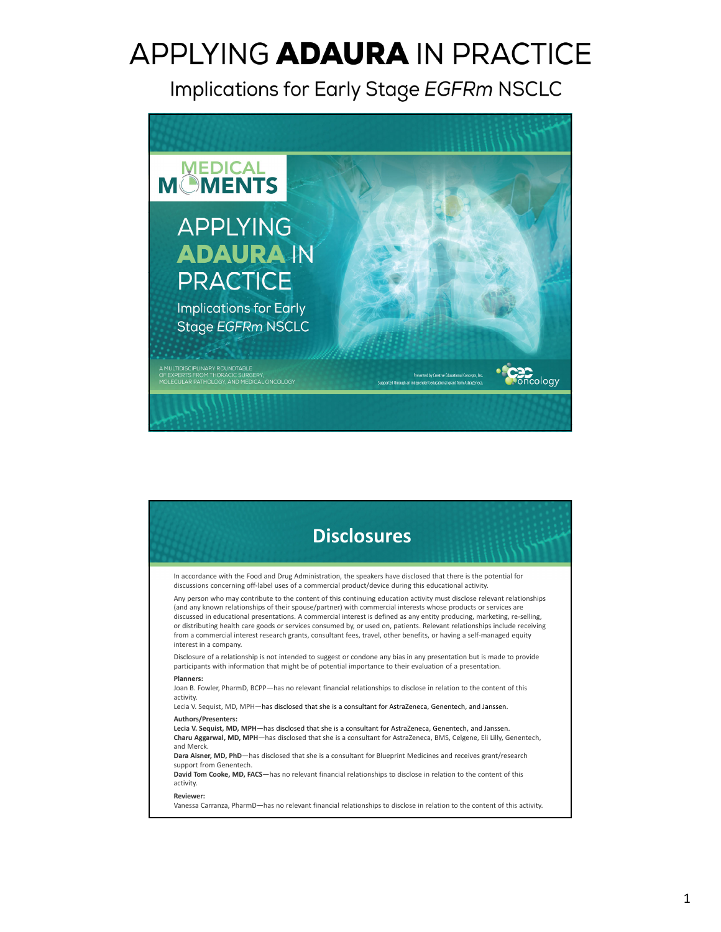Implications for Early Stage EGFRm NSCLC



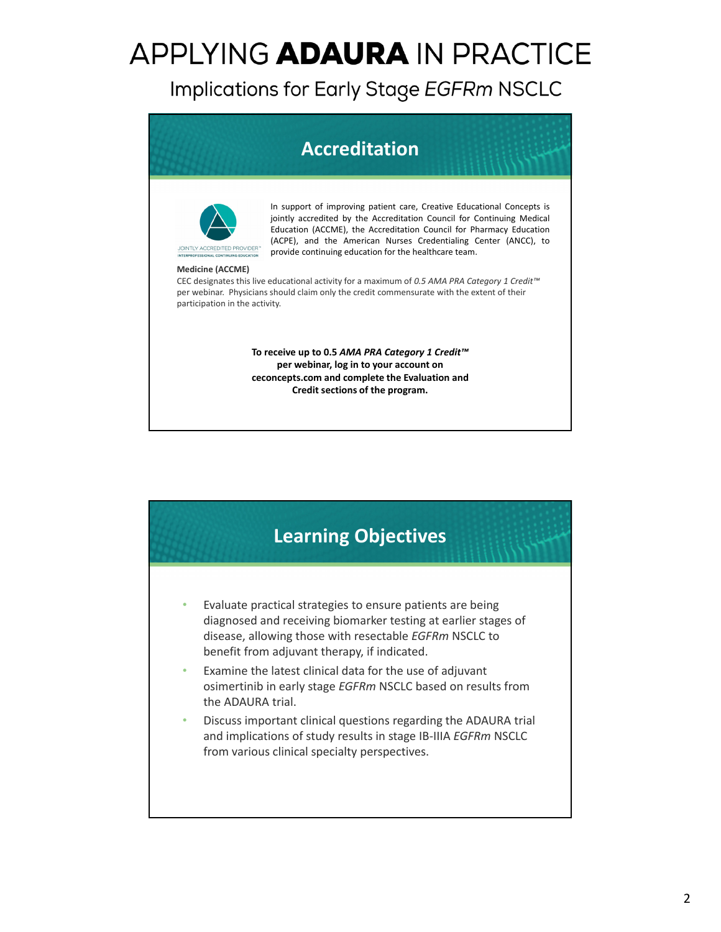Implications for Early Stage EGFRm NSCLC

#### **Accreditation**



In support of improving patient care, Creative Educational Concepts is jointly accredited by the Accreditation Council for Continuing Medical Education (ACCME), the Accreditation Council for Pharmacy Education (ACPE), and the American Nurses Credentialing Center (ANCC), to provide continuing education for the healthcare team.

#### **Medicine (ACCME)**

CEC designates this live educational activity for a maximum of *0.5 AMA PRA Category 1 Credit™* per webinar. Physicians should claim only the credit commensurate with the extent of their participation in the activity.

> **To receive up to 0.5** *AMA PRA Category 1 Credit™* **per webinar, log in to your account on ceconcepts.com and complete the Evaluation and Credit sections of the program.**



- Evaluate practical strategies to ensure patients are being diagnosed and receiving biomarker testing at earlier stages of disease, allowing those with resectable *EGFRm* NSCLC to benefit from adjuvant therapy, if indicated.
- Examine the latest clinical data for the use of adjuvant osimertinib in early stage *EGFRm* NSCLC based on results from the ADAURA trial.
- Discuss important clinical questions regarding the ADAURA trial and implications of study results in stage IB‐IIIA *EGFRm* NSCLC from various clinical specialty perspectives.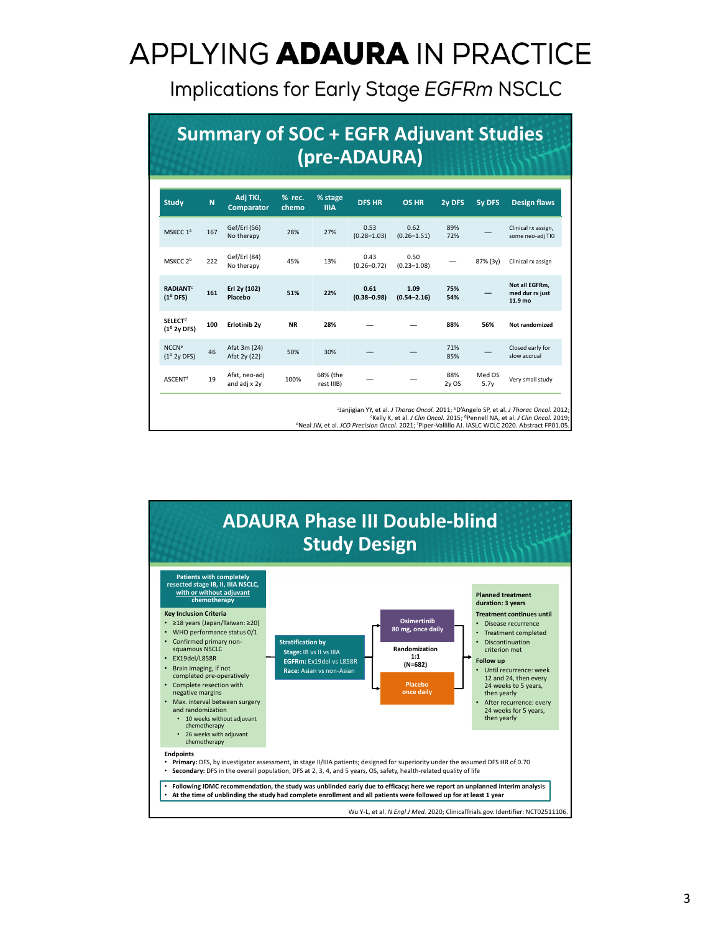Implications for Early Stage EGFRm NSCLC

|                                                      |     | <b>Summary of SOC + EGFR Adjuvant Studies</b> |                 |                        | (pre-ADAURA)            |                         |             |                |                                              |
|------------------------------------------------------|-----|-----------------------------------------------|-----------------|------------------------|-------------------------|-------------------------|-------------|----------------|----------------------------------------------|
| <b>Study</b>                                         | N   | Adj TKI,<br><b>Comparator</b>                 | % rec.<br>chemo | % stage<br><b>IIIA</b> | <b>DFS HR</b>           | <b>OS HR</b>            | 2y DFS      | <b>5y DFS</b>  | <b>Design flaws</b>                          |
| MSKCC 1ª                                             | 167 | Gef/Erl (56)<br>No therapy                    | 28%             | 27%                    | 0.53<br>$(0.28 - 1.03)$ | 0.62<br>$(0.26 - 1.51)$ | 89%<br>72%  |                | Clinical rx assign,<br>some neo-adj TKI      |
| MSKCC <sub>2b</sub>                                  | 222 | Gef/Erl (84)<br>No therapy                    | 45%             | 13%                    | 0.43<br>$(0.26 - 0.72)$ | 0.50<br>$(0.23 - 1.08)$ |             | 87% (3y)       | Clinical rx assign                           |
| <b>RADIANT<sup>C</sup></b><br>$(1^{\circ}$ DFS)      | 161 | Erl 2y (102)<br>Placebo                       | 51%             | 22%                    | 0.61<br>$(0.38 - 0.98)$ | 1.09<br>$(0.54 - 2.16)$ | 75%<br>54%  |                | Not all EGFRm.<br>med dur rx just<br>11.9 mo |
| <b>SELECT<sup>d</sup></b><br>(1 <sup>o</sup> 2v DFS) | 100 | Erlotinib <sub>2y</sub>                       | <b>NR</b>       | 28%                    |                         |                         | 88%         | 56%            | Not randomized                               |
| <b>NCCN<sup>e</sup></b><br>(1 <sup>o</sup> 2y DFS)   | 46  | Afat 3m (24)<br>Afat 2y (22)                  | 50%             | 30%                    |                         |                         | 71%<br>85%  |                | Closed early for<br>slow accrual             |
| <b>ASCENT<sup>f</sup></b>                            | 19  | Afat, neo-adj<br>and adj x 2y                 | 100%            | 68% (the<br>rest IIIB) |                         |                         | 88%<br>2yOS | Med OS<br>5.7v | Very small study                             |

<sup>a</sup>Janjigian YY, et al. *J Thorac Oncol*. 2011; <sup>b</sup>D'Angelo SP, et al. *J Thorac Oncol*. 2012

c Kelly K, et al. *J Clin Oncol.* 2015; dPennell NA, et al. *J Clin Oncol.* 2019; eNeal JW, et al. *JCO Precision Oncol*. 2021; <sup>f</sup> Piper‐Vallillo AJ. IASLC WCLC 2020. Abstract FP01.05.

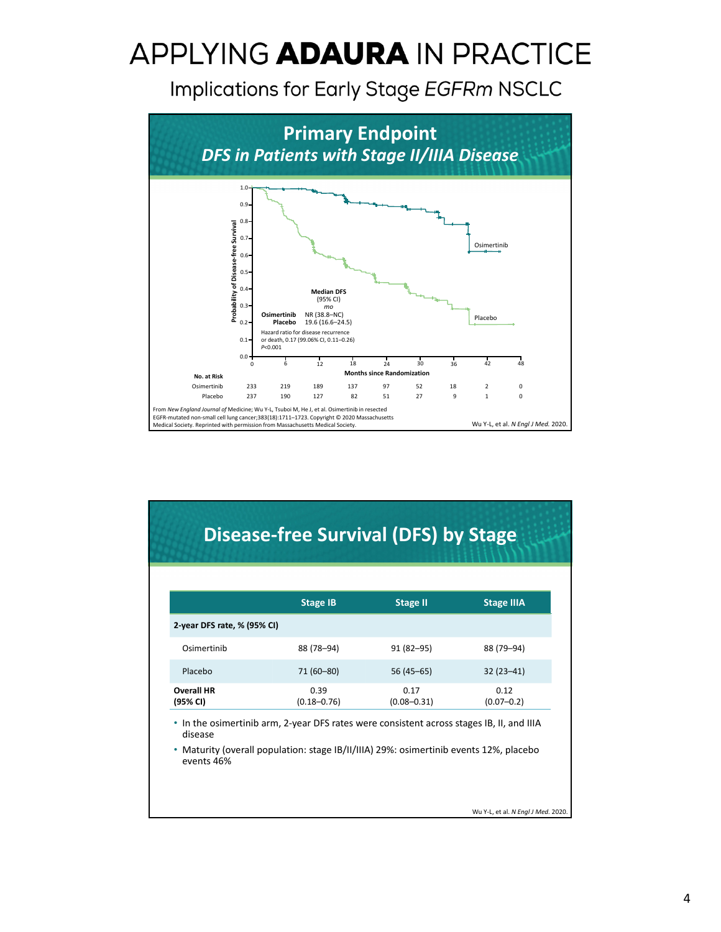Implications for Early Stage EGFRm NSCLC



#### **Disease‐free Survival (DFS) by Stage**

|                               | <b>Stage IB</b>                                                                           | <b>Stage II</b>         | <b>Stage IIIA</b>      |
|-------------------------------|-------------------------------------------------------------------------------------------|-------------------------|------------------------|
| 2-year DFS rate, % (95% CI)   |                                                                                           |                         |                        |
| Osimertinib                   | 88 (78–94)                                                                                | $91(82 - 95)$           | 88 (79–94)             |
| Placebo                       | 71 (60-80)                                                                                | $56(45-65)$             | $32(23-41)$            |
| <b>Overall HR</b><br>(95% CI) | 0.39<br>$(0.18 - 0.76)$                                                                   | 0.17<br>$(0.08 - 0.31)$ | 0.12<br>$(0.07 - 0.2)$ |
|                               | • In the osimertinib arm, 2-year DFS rates were consistent across stages IB, II, and IIIA |                         |                        |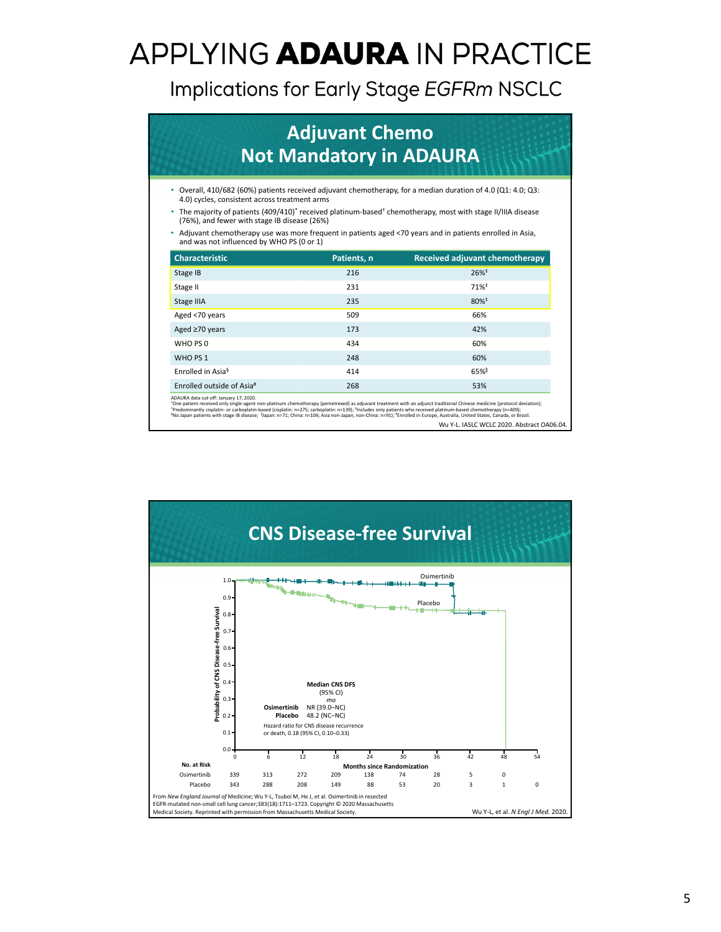Implications for Early Stage EGFRm NSCLC

|                                               | <b>Adjuvant Chemo</b><br><b>Not Mandatory in ADAURA</b> |                                                                                                                                    |
|-----------------------------------------------|---------------------------------------------------------|------------------------------------------------------------------------------------------------------------------------------------|
| 4.0) cycles, consistent across treatment arms |                                                         | • Overall, 410/682 (60%) patients received adjuvant chemotherapy, for a median duration of 4.0 (Q1: 4.0; Q3:                       |
| (76%), and fewer with stage IB disease (26%)  |                                                         | The majority of patients (409/410) <sup>*</sup> received platinum-based <sup>+</sup> chemotherapy, most with stage II/IIIA disease |
| and was not influenced by WHO PS (0 or 1)     |                                                         | • Adjuvant chemotherapy use was more frequent in patients aged <70 years and in patients enrolled in Asia,                         |
| <b>Characteristic</b>                         | Patients, n                                             | Received adjuvant chemotherapy                                                                                                     |
| Stage IB                                      | 216                                                     | $26\%$ <sup>‡</sup>                                                                                                                |
| Stage II                                      | 231                                                     | $71%$ <sup>‡</sup>                                                                                                                 |
|                                               |                                                         |                                                                                                                                    |
| Stage IIIA                                    | 235                                                     | $80%$ <sup><math>*</math></sup>                                                                                                    |
| Aged <70 years                                | 509                                                     | 66%                                                                                                                                |
| Aged ≥70 years                                | 173                                                     | 42%                                                                                                                                |
| WHO PS 0                                      | 434                                                     | 60%                                                                                                                                |
| WHO PS 1                                      | 248                                                     | 60%                                                                                                                                |
| Enrolled in Asia <sup>§</sup>                 | 414                                                     | 65%                                                                                                                                |

"One patient received only single-agent non-platinum chemotherapy (pemetrexed) as adjuvant treatment with an adjunct traditional Chinese medicine (protocol deviation);<br>"Predominantly cisplatin- or carboplatin-based (cispla

Wu Y‐L. IASLC WCLC 2020. Abstract OA06.04.